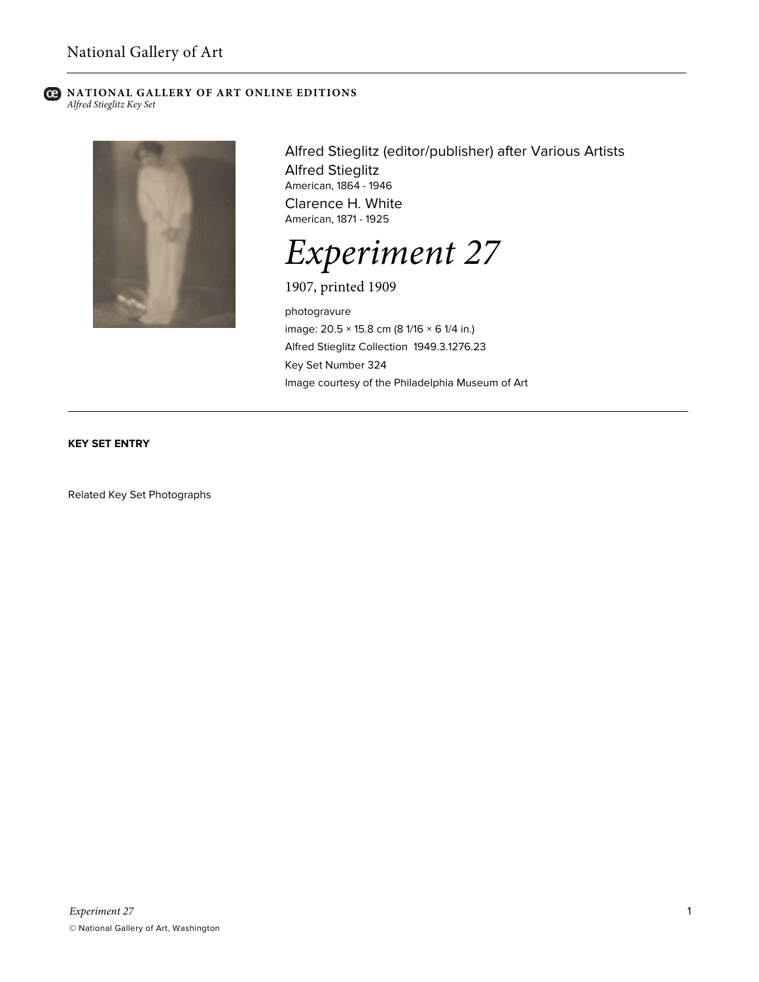### **C** NATIONAL GALLERY OF ART ONLINE EDITIONS *Alfred Stieglitz Key Set*



Alfred Stieglitz (editor/publisher) after Various Artists Alfred Stieglitz American, 1864 - 1946 Clarence H. White American, 1871 - 1925

*Experiment 27*

1907, printed 1909

photogravure image: 20.5 × 15.8 cm (8 1/16 × 6 1/4 in.) Alfred Stieglitz Collection 1949.3.1276.23 Key Set Number 324 Image courtesy of the Philadelphia Museum of Art

# **KEY SET ENTRY**

Related Key Set Photographs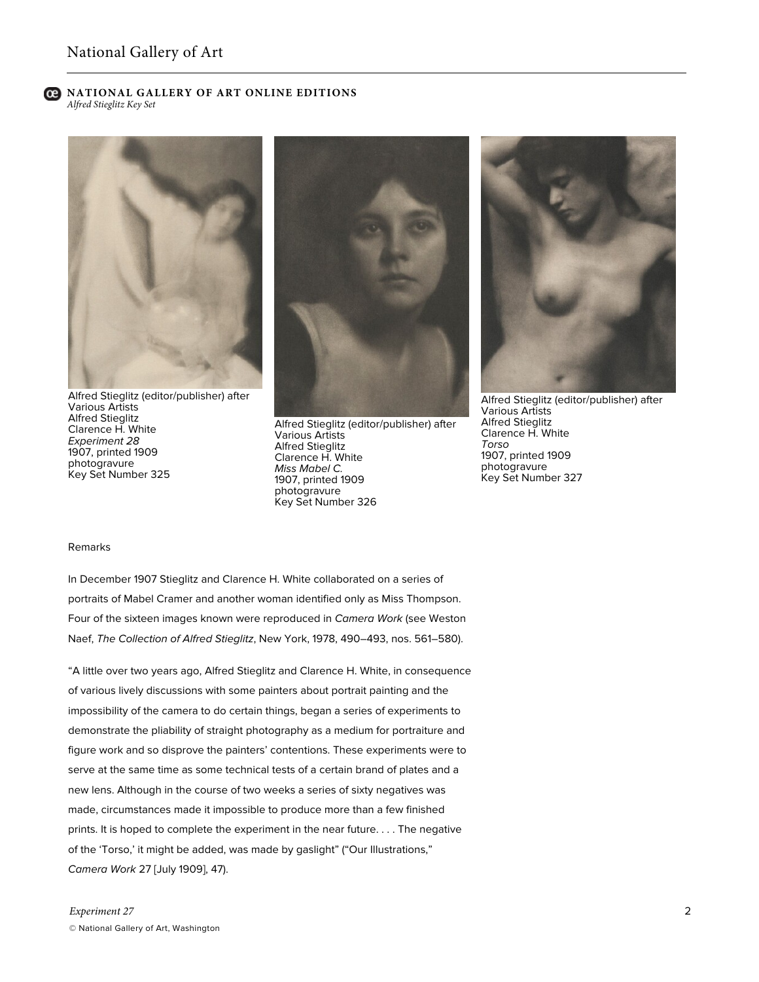# ല

**NATIONAL GALLERY OF ART ONLINE EDITIONS** *Alfred Stieglitz Key Set*



Alfred Stieglitz (editor/publisher) after Various Artists Alfred Stieglitz Clarence H. White *Experiment 28* 1907, printed 1909 photogravure Key Set Number 325



Alfred Stieglitz (editor/publisher) after Various Artists Alfred Stieglitz Clarence H. White *Miss Mabel C.* 1907, printed 1909 photogravure Key Set Number 326



Alfred Stieglitz (editor/publisher) after Various Artists Alfred Stieglitz Clarence H. White *Torso* 1907, printed 1909 photogravure Key Set Number 327

#### Remarks

In December 1907 Stieglitz and Clarence H. White collaborated on a series of portraits of Mabel Cramer and another woman identified only as Miss Thompson. Four of the sixteen images known were reproduced in *Camera Work* (see Weston Naef, *The Collection of Alfred Stieglitz*, New York, 1978, 490–493, nos. 561–580).

"A little over two years ago, Alfred Stieglitz and Clarence H. White, in consequence of various lively discussions with some painters about portrait painting and the impossibility of the camera to do certain things, began a series of experiments to demonstrate the pliability of straight photography as a medium for portraiture and figure work and so disprove the painters' contentions. These experiments were to serve at the same time as some technical tests of a certain brand of plates and a new lens. Although in the course of two weeks a series of sixty negatives was made, circumstances made it impossible to produce more than a few finished prints. It is hoped to complete the experiment in the near future. . . . The negative of the 'Torso,' it might be added, was made by gaslight" ("Our Illustrations," *Camera Work* 27 [July 1909], 47).